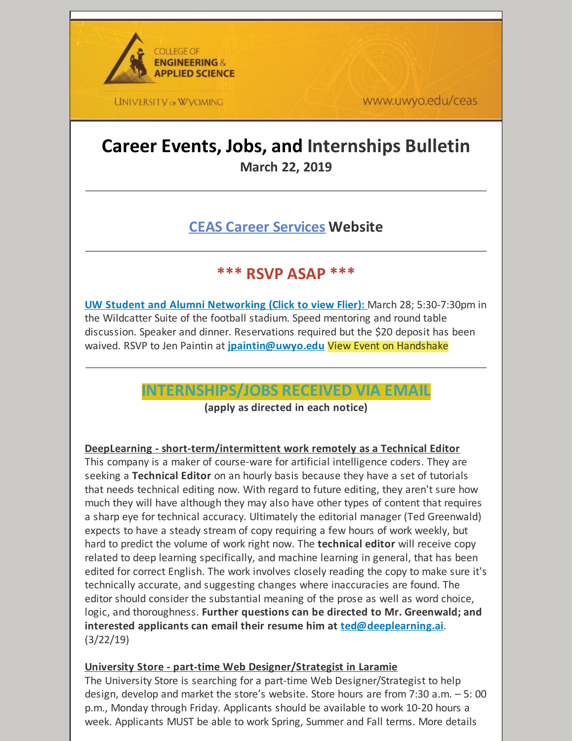

www.uwyo.edu/ceas

## **Career Events, Jobs, and Internships Bulletin March 22, 2019**

## **CEAS Career [Services](http://www.uwyo.edu/ceas/resources/studentservices/jobs/index.html) Website**

## **\*\*\* RSVP ASAP \*\*\***

**UW Student and Alumni [Networking](https://files.constantcontact.com/b2624f04701/d826cc99-f070-4d03-ba77-24ff7254b722.pdf) (Click to view Flier):** March 28; 5:30-7:30pm in the Wildcatter Suite of the football stadium. Speed mentoring and round table discussion. Speaker and dinner. Reservations required but the \$20 deposit has been waived. RSVP to Jen Paintin at **[jpaintin@uwyo.edu](mailto:jpaintin@uwyo.edu)** View Event on Handshake

### **INTERNSHIPS/JOBS RECEIVED VIA EMAIL**

**(apply as directed in each notice)**

#### **DeepLearning - short-term/intermittent work remotely as a Technical Editor**

This company is a maker of course-ware for artificial intelligence coders. They are seeking a **Technical Editor** on an hourly basis because they have a set of tutorials that needs technical editing now. With regard to future editing, they aren't sure how much they will have although they may also have other types of content that requires a sharp eye for technical accuracy. Ultimately the editorial manager (Ted Greenwald) expects to have a steady stream of copy requiring a few hours of work weekly, but hard to predict the volume of work right now. The **technical editor** will receive copy related to deep learning specifically, and machine learning in general, that has been edited for correct English. The work involves closely reading the copy to make sure it's technically accurate, and suggesting changes where inaccuracies are found. The editor should consider the substantial meaning of the prose as well as word choice, logic, and thoroughness. **Further questions can be directed to Mr. Greenwald; and interested applicants can email their resume him at [ted@deeplearning.ai](mailto:ted@deeplearning.ai)**. (3/22/19)

#### **University Store - part-time Web Designer/Strategist in Laramie**

The University Store is searching for a part-time Web Designer/Strategist to help design, develop and market the store's website. Store hours are from 7:30 a.m. – 5: 00 p.m., Monday through Friday. Applicants should be available to work 10-20 hours a week. Applicants MUST be able to work Spring, Summer and Fall terms. More details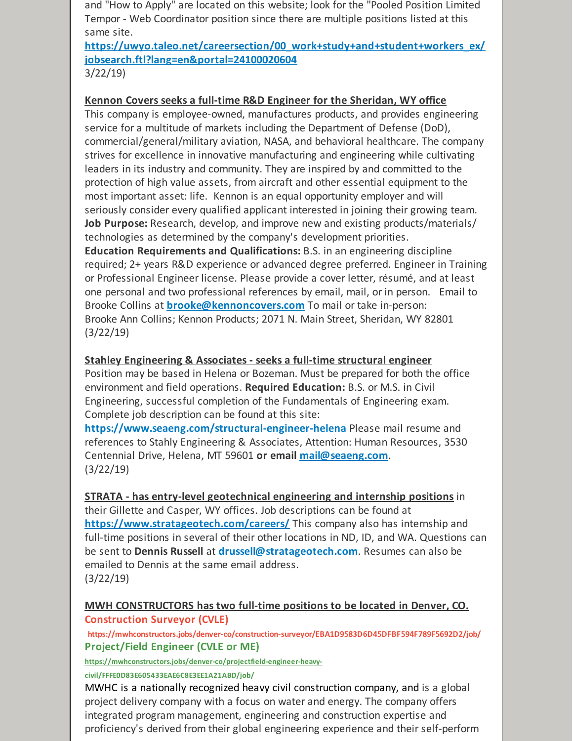and "How to Apply" are located on this website; look for the "Pooled Position Limited Tempor - Web Coordinator position since there are multiple positions listed at this same site.

**[https://uwyo.taleo.net/careersection/00\\_work+study+and+student+workers\\_ex/](https://uwyo.taleo.net/careersection/00_work+study+and+student+workers_ex/jobsearch.ftl?lang=en&portal=24100020604) jobsearch.ftl?lang=en&portal=24100020604** 3/22/19)

#### **Kennon Covers seeks a full-time R&D Engineer for the Sheridan, WY office**

This company is employee-owned, manufactures products, and provides engineering service for a multitude of markets including the Department of Defense (DoD), commercial/general/military aviation, NASA, and behavioral healthcare. The company strives for excellence in innovative manufacturing and engineering while cultivating leaders in its industry and community. They are inspired by and committed to the protection of high value assets, from aircraft and other essential equipment to the most important asset: life. Kennon is an equal opportunity employer and will seriously consider every qualified applicant interested in joining their growing team. **Job Purpose:** Research, develop, and improve new and existing products/materials/ technologies as determined by the company's development priorities. **Education Requirements and Qualifications:** B.S. in an engineering discipline required; 2+ years R&D experience or advanced degree preferred. Engineer in Training or Professional Engineer license. Please provide a cover letter, résumé, and at least one personal and two professional references by email, mail, or in person. Email to

Brooke Collins at **[brooke@kennoncovers.com](mailto:brooke@kennoncovers.com)** To mail or take in-person: Brooke Ann Collins; Kennon Products; 2071 N. Main Street, Sheridan, WY 82801 (3/22/19)

#### **Stahley Engineering & Associates - seeks a full-time structural engineer**

Position may be based in Helena or Bozeman. Must be prepared for both the office environment and field operations. **Required Education:** B.S. or M.S. in Civil Engineering, successful completion of the Fundamentals of Engineering exam. Complete job description can be found at this site:

**<https://www.seaeng.com/structural-engineer-helena>** Please mail resume and references to Stahly Engineering & Associates, Attention: Human Resources, 3530 Centennial Drive, Helena, MT 59601 **or email [mail@seaeng.com](mailto:mail@seaeng.com)**. (3/22/19)

**STRATA - has entry-level geotechnical engineering and internship positions** in their Gillette and Casper, WY offices. Job descriptions can be found at **<https://www.stratageotech.com/careers/>** This company also has internship and full-time positions in several of their other locations in ND, ID, and WA. Questions can be sent to **Dennis Russell** at **[drussell@stratageotech.com](mailto:drussell@stratageotech.com)**. Resumes can also be emailed to Dennis at the same email address. (3/22/19)

#### **MWH CONSTRUCTORS has two full-time positions to be located in Denver, CO. Construction Surveyor (CVLE)**

**<https://mwhconstructors.jobs/denver-co/construction-surveyor/EBA1D9583D6D45DFBF594F789F5692D2/job/> Project/Field Engineer (CVLE or ME)**

**[https://mwhconstructors.jobs/denver-co/projectfield-engineer-heavy-](https://mwhconstructors.jobs/denver-co/projectfield-engineer-heavy-civil/FFFE0D83E605433EAE6C8E3EE1A21ABD/job/)**

**civil/FFFE0D83E605433EAE6C8E3EE1A21ABD/job/**

MWHC is a nationally recognized heavy civil construction company, and is a global project delivery company with a focus on water and energy. The company offers integrated program management, engineering and construction expertise and proficiency's derived from their global engineering experience and their self-perform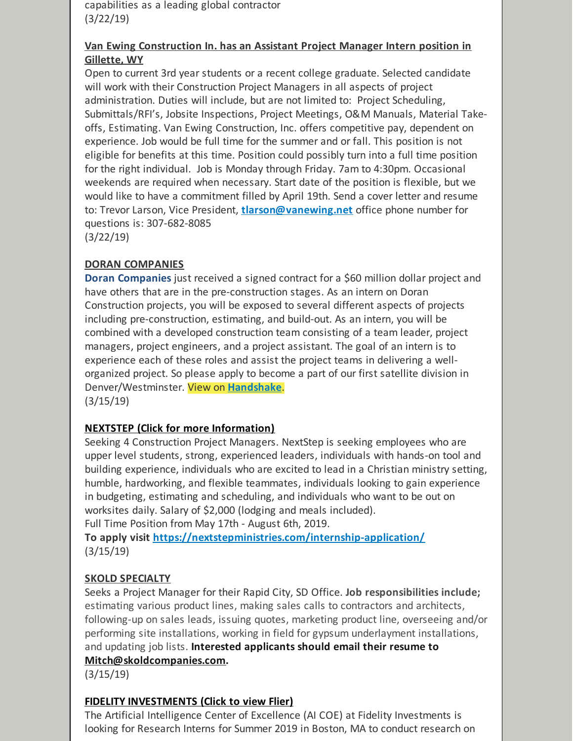capabilities as a leading global contractor (3/22/19)

#### **Van Ewing Construction In. has an Assistant Project Manager Intern position in Gillette, WY**

Open to current 3rd year students or a recent college graduate. Selected candidate will work with their Construction Project Managers in all aspects of project administration. Duties will include, but are not limited to: Project Scheduling, Submittals/RFI's, Jobsite Inspections, Project Meetings, O&M Manuals, Material Takeoffs, Estimating. Van Ewing Construction, Inc. offers competitive pay, dependent on experience. Job would be full time for the summer and or fall. This position is not eligible for benefits at this time. Position could possibly turn into a full time position for the right individual. Job is Monday through Friday. 7am to 4:30pm. Occasional weekends are required when necessary. Start date of the position is flexible, but we would like to have a commitment filled by April 19th. Send a cover letter and resume to: Trevor Larson, Vice President, **[tlarson@vanewing.net](mailto:tlarson@vanewing.net)** office phone number for questions is: 307-682-8085 (3/22/19)

#### **DORAN COMPANIES**

**Doran Companies** just received a signed contract for a \$60 million dollar project and have others that are in the pre-construction stages. As an intern on Doran Construction projects, you will be exposed to several different aspects of projects including pre-construction, estimating, and build-out. As an intern, you will be combined with a developed construction team consisting of a team leader, project managers, project engineers, and a project assistant. The goal of an intern is to experience each of these roles and assist the project teams in delivering a wellorganized project. So please apply to become a part of our first satellite division in Denver/Westminster. View on **[Handshake](https://wyoming.joinhandshake.com/jobs/2298379)**. (3/15/19)

#### **NEXTSTEP (Click for more [Information\)](https://nextstepministries.com/internships/construction/)**

Seeking 4 Construction Project Managers. NextStep is seeking employees who are upper level students, strong, experienced leaders, individuals with hands-on tool and building experience, individuals who are excited to lead in a Christian ministry setting, humble, hardworking, and flexible teammates, individuals looking to gain experience in budgeting, estimating and scheduling, and individuals who want to be out on worksites daily. Salary of \$2,000 (lodging and meals included).

Full Time Position from May 17th - August 6th, 2019.

**To apply visit <https://nextstepministries.com/internship-application/>** (3/15/19)

#### **SKOLD SPECIALTY**

Seeks a Project Manager for their Rapid City, SD Office. **Job responsibilities include;** estimating various product lines, making sales calls to contractors and architects, following-up on sales leads, issuing quotes, marketing product line, overseeing and/or performing site installations, working in field for gypsum underlayment installations, and updating job lists. **Interested applicants should email their resume to**

#### **[Mitch@skoldcompanies.com](mailto:Mitch@skoldcompanies.com).**

(3/15/19)

#### **FIDELITY [INVESTMENTS](https://files.constantcontact.com/b2624f04701/03c9d73d-2129-484b-a87e-984d8711d670.pdf) (Click to view Flier)**

The Artificial Intelligence Center of Excellence (AI COE) at Fidelity Investments is looking for Research Interns for Summer 2019 in Boston, MA to conduct research on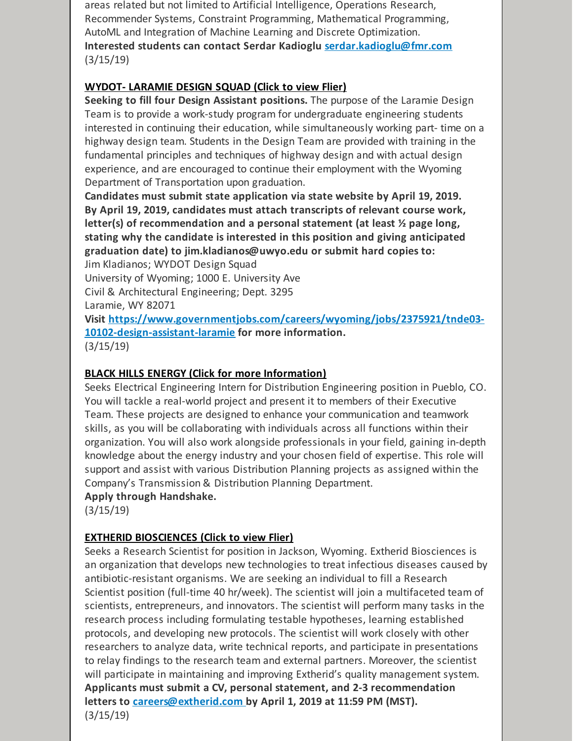areas related but not limited to Artificial Intelligence, Operations Research, Recommender Systems, Constraint Programming, Mathematical Programming, AutoML and Integration of Machine Learning and Discrete Optimization. **Interested students can contact Serdar Kadioglu [serdar.kadioglu@fmr.com](mailto:serdar.kadioglu@fmr.com)** (3/15/19)

#### **WYDOT- [LARAMIE](https://files.constantcontact.com/b2624f04701/fb24ca9d-bdda-4612-8a01-d38ba03b7d34.doc) DESIGN SQUAD (Click to view Flier)**

**Seeking to fill four Design Assistant positions.** The purpose of the Laramie Design Team is to provide a work-study program for undergraduate engineering students interested in continuing their education, while simultaneously working part- time on a highway design team. Students in the Design Team are provided with training in the fundamental principles and techniques of highway design and with actual design experience, and are encouraged to continue their employment with the Wyoming Department of Transportation upon graduation.

**Candidates must submit state application via state website by April 19, 2019. By April 19, 2019, candidates must attach transcripts of relevant course work, letter(s) of recommendation and a personal statement (at least ½ page long, stating why the candidate is interested in this position and giving anticipated graduation date) to jim.kladianos@uwyo.edu or submit hard copies to:**

Jim Kladianos; WYDOT Design Squad

University of Wyoming; 1000 E. University Ave

Civil & Architectural Engineering; Dept. 3295

Laramie, WY 82071

**Visit [https://www.governmentjobs.com/careers/wyoming/jobs/2375921/tnde03-](https://www.governmentjobs.com/careers/wyoming/jobs/2375921/tnde03-10102-design-assistant-laramie) 10102-design-assistant-laramie for more information.** (3/15/19)

#### **BLACK HILLS ENERGY (Click for more [Information\)](https://wyoming.joinhandshake.com/jobs/2513948)**

Seeks Electrical Engineering Intern for Distribution Engineering position in Pueblo, CO. You will tackle a real-world project and present it to members of their Executive Team. These projects are designed to enhance your communication and teamwork skills, as you will be collaborating with individuals across all functions within their organization. You will also work alongside professionals in your field, gaining in-depth knowledge about the energy industry and your chosen field of expertise. This role will support and assist with various Distribution Planning projects as assigned within the Company's Transmission & Distribution Planning Department.

#### **Apply through Handshake.**

(3/15/19)

#### **EXTHERID [BIOSCIENCES](https://files.constantcontact.com/b2624f04701/513fa69e-e82a-4a42-8305-d5f5bfb3bb84.docx) (Click to view Flier)**

Seeks a Research Scientist for position in Jackson, Wyoming. Extherid Biosciences is an organization that develops new technologies to treat infectious diseases caused by antibiotic-resistant organisms. We are seeking an individual to fill a Research Scientist position (full-time 40 hr/week). The scientist will join a multifaceted team of scientists, entrepreneurs, and innovators. The scientist will perform many tasks in the research process including formulating testable hypotheses, learning established protocols, and developing new protocols. The scientist will work closely with other researchers to analyze data, write technical reports, and participate in presentations to relay findings to the research team and external partners. Moreover, the scientist will participate in maintaining and improving Extherid's quality management system. **Applicants must submit a CV, personal statement, and 2-3 recommendation letters to [careers@extherid.com](mailto:careers@extherid.com) by April 1, 2019 at 11:59 PM (MST).** (3/15/19)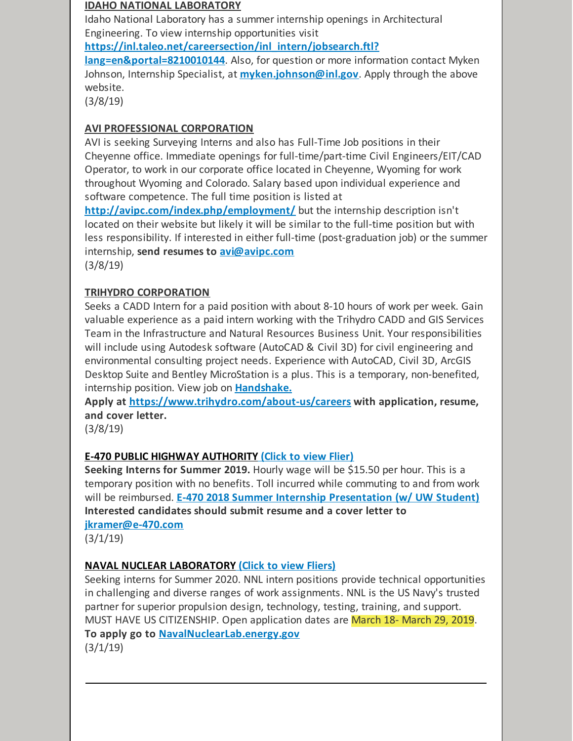#### **IDAHO NATIONAL LABORATORY**

Idaho National Laboratory has a summer internship openings in Architectural Engineering. To view internship opportunities visit

**[https://inl.taleo.net/careersection/inl\\_intern/jobsearch.ftl?](https://inl.taleo.net/careersection/inl_intern/jobsearch.ftl?lang=en&portal=8210010144)**

**lang=en&portal=8210010144**. Also, for question or more information contact Myken Johnson, Internship Specialist, at **[myken.johnson@inl.gov](mailto:myken.johnson@inl.gov)**. Apply through the above website.

(3/8/19)

#### **AVI PROFESSIONAL CORPORATION**

AVI is seeking Surveying Interns and also has Full-Time Job positions in their Cheyenne office. Immediate openings for full-time/part-time Civil Engineers/EIT/CAD Operator, to work in our corporate office located in Cheyenne, Wyoming for work throughout Wyoming and Colorado. Salary based upon individual experience and software competence. The full time position is listed at

**<http://avipc.com/index.php/employment/>** but the internship description isn't located on their website but likely it will be similar to the full-time position but with less responsibility. If interested in either full-time (post-graduation job) or the summer internship, **send resumes to [avi@avipc.com](mailto:avi@avipc.com)** (3/8/19)

#### **TRIHYDRO CORPORATION**

Seeks a CADD Intern for a paid position with about 8-10 hours of work per week. Gain valuable experience as a paid intern working with the Trihydro CADD and GIS Services Team in the Infrastructure and Natural Resources Business Unit. Your responsibilities will include using Autodesk software (AutoCAD & Civil 3D) for civil engineering and environmental consulting project needs. Experience with AutoCAD, Civil 3D, ArcGIS Desktop Suite and Bentley MicroStation is a plus. This is a temporary, non-benefited, internship position. View job on **[Handshake.](https://app.joinhandshake.com/jobs/2506080)**

**Apply at <https://www.trihydro.com/about-us/careers> with application, resume, and cover letter.**

(3/8/19)

#### **E-470 PUBLIC HIGHWAY [AUTHORITY](https://files.constantcontact.com/b2624f04701/d8ffa485-930a-4ae4-b3f2-3f15ead3ca97.pdf) [\(Click](https://files.constantcontact.com/b2624f04701/d8ffa485-930a-4ae4-b3f2-3f15ead3ca97.pdf) to view Flier)**

**Seeking Interns for Summer 2019.** Hourly wage will be \$15.50 per hour. This is a temporary position with no benefits. Toll incurred while commuting to and from work will be reimbursed. **E-470 2018 Summer Internship [Presentation](https://www.youtube.com/watch?v=69y2FYAXa0M&feature=youtu.be) (w/ UW Student) Interested candidates should submit resume and a cover letter to**

**[jkramer@e-470.com](mailto:jkramer@e-470.com)**

 $(3/1/19)$ 

#### **NAVAL NUCLEAR [LABORATORY](https://files.constantcontact.com/b2624f04701/16d9d4d4-3fea-4e92-b58d-597cf144e00e.pdf) (Click to view [Fliers\)](https://files.constantcontact.com/b2624f04701/16d9d4d4-3fea-4e92-b58d-597cf144e00e.pdf)**

Seeking interns for Summer 2020. NNL intern positions provide technical opportunities in challenging and diverse ranges of work assignments. NNL is the US Navy's trusted partner for superior propulsion design, technology, testing, training, and support. MUST HAVE US CITIZENSHIP. Open application dates are March 18- March 29, 2019. **To apply go to [NavalNuclearLab.energy.gov](http://navalnuclearlab.energy.gov)**

(3/1/19)